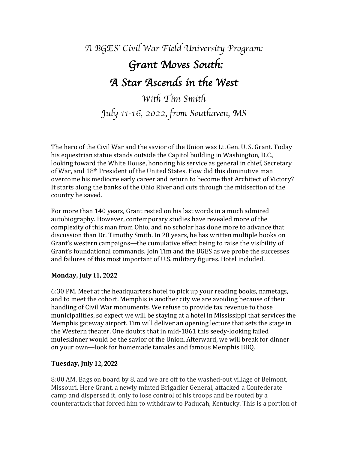# *A BGES*' *Civil War Field University Program: Grant Moves South: A Star Ascends in the West With Tim Smith*

*July* 11*-*16, *202*2*, from Southaven, MS* 

The hero of the Civil War and the savior of the Union was Lt. Gen. U. S. Grant. Today his equestrian statue stands outside the Capitol building in Washington, D.C., looking toward the White House, honoring his service as general in chief, Secretary of War, and 18<sup>th</sup> President of the United States. How did this diminutive man overcome his mediocre early career and return to become that Architect of Victory? It starts along the banks of the Ohio River and cuts through the midsection of the country he saved.

For more than 140 years, Grant rested on his last words in a much admired autobiography. However, contemporary studies have revealed more of the complexity of this man from Ohio, and no scholar has done more to advance that discussion than Dr. Timothy Smith. In 20 years, he has written multiple books on Grant's western campaigns—the cumulative effect being to raise the visibility of Grant's foundational commands. Join Tim and the BGES as we probe the successes and failures of this most important of U.S. military figures. Hotel included.

## **Monday, July 11, 2022**

6:30 PM. Meet at the headquarters hotel to pick up your reading books, nametags, and to meet the cohort. Memphis is another city we are avoiding because of their handling of Civil War monuments. We refuse to provide tax revenue to those municipalities, so expect we will be staying at a hotel in Mississippi that services the Memphis gateway airport. Tim will deliver an opening lecture that sets the stage in the Western theater. One doubts that in mid-1861 this seedy-looking failed muleskinner would be the savior of the Union. Afterward, we will break for dinner on your own-look for homemade tamales and famous Memphis BBQ.

# **Tuesday, July 12,** 2022

8:00 AM. Bags on board by 8, and we are off to the washed-out village of Belmont, Missouri. Here Grant, a newly minted Brigadier General, attacked a Confederate camp and dispersed it, only to lose control of his troops and be routed by a counterattack that forced him to withdraw to Paducah, Kentucky. This is a portion of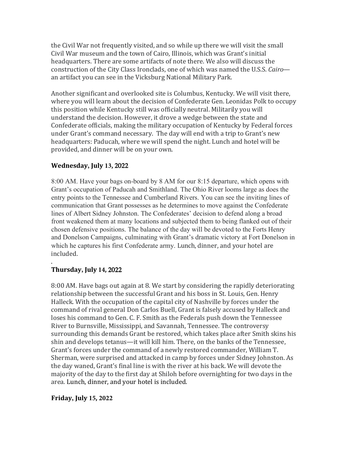the Civil War not frequently visited, and so while up there we will visit the small Civil War museum and the town of Cairo, Illinois, which was Grant's initial headquarters. There are some artifacts of note there. We also will discuss the construction of the City Class Ironclads, one of which was named the U.S.S. *Cairo* an artifact you can see in the Vicksburg National Military Park.

Another significant and overlooked site is Columbus, Kentucky. We will visit there, where you will learn about the decision of Confederate Gen. Leonidas Polk to occupy this position while Kentucky still was officially neutral. Militarily you will understand the decision. However, it drove a wedge between the state and Confederate officials, making the military occupation of Kentucky by Federal forces under Grant's command necessary. The day will end with a trip to Grant's new headquarters: Paducah, where we will spend the night. Lunch and hotel will be provided, and dinner will be on your own.

# **Wednesday, July 13,** 2022

8:00 AM. Have your bags on-board by 8 AM for our 8:15 departure, which opens with Grant's occupation of Paducah and Smithland. The Ohio River looms large as does the entry points to the Tennessee and Cumberland Rivers. You can see the inviting lines of communication that Grant possesses as he determines to move against the Confederate lines of Albert Sidney Johnston. The Confederates' decision to defend along a broad front weakened them at many locations and subjected them to being flanked out of their chosen defensive positions. The balance of the day will be devoted to the Forts Henry and Donelson Campaigns, culminating with Grant's dramatic victory at Fort Donelson in which he captures his first Confederate army. Lunch, dinner, and your hotel are included.

#### . **Thursday, July 14,** 2022

8:00 AM. Have bags out again at 8. We start by considering the rapidly deteriorating relationship between the successful Grant and his boss in St. Louis, Gen. Henry Halleck. With the occupation of the capital city of Nashville by forces under the command of rival general Don Carlos Buell, Grant is falsely accused by Halleck and loses his command to Gen. C. F. Smith as the Federals push down the Tennessee River to Burnsville, Mississippi, and Savannah, Tennessee. The controversy surrounding this demands Grant be restored, which takes place after Smith skins his shin and develops tetanus—it will kill him. There, on the banks of the Tennessee, Grant's forces under the command of a newly restored commander, William T. Sherman, were surprised and attacked in camp by forces under Sidney Johnston. As the day waned, Grant's final line is with the river at his back. We will devote the majority of the day to the first day at Shiloh before overnighting for two days in the area. Lunch, dinner, and your hotel is included.

## **Friday, July 15, 2022**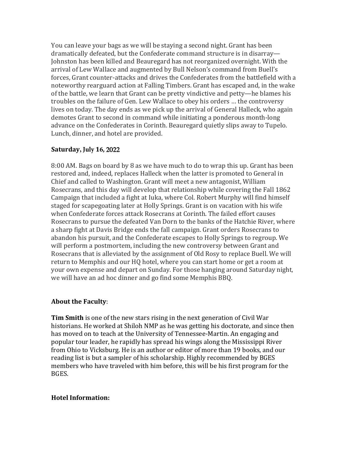You can leave your bags as we will be staying a second night. Grant has been dramatically defeated, but the Confederate command structure is in disarray-Johnston has been killed and Beauregard has not reorganized overnight. With the arrival of Lew Wallace and augmented by Bull Nelson's command from Buell's forces, Grant counter-attacks and drives the Confederates from the battlefield with a noteworthy rearguard action at Falling Timbers. Grant has escaped and, in the wake of the battle, we learn that Grant can be pretty vindictive and petty—he blames his troubles on the failure of Gen. Lew Wallace to obey his orders ... the controversy lives on today. The day ends as we pick up the arrival of General Halleck, who again demotes Grant to second in command while initiating a ponderous month-long advance on the Confederates in Corinth. Beauregard quietly slips away to Tupelo. Lunch, dinner, and hotel are provided.

# **Saturday, July 16,** 2022

8:00 AM. Bags on board by 8 as we have much to do to wrap this up. Grant has been restored and, indeed, replaces Halleck when the latter is promoted to General in Chief and called to Washington. Grant will meet a new antagonist, William Rosecrans, and this day will develop that relationship while covering the Fall 1862 Campaign that included a fight at Iuka, where Col. Robert Murphy will find himself staged for scapegoating later at Holly Springs. Grant is on vacation with his wife when Confederate forces attack Rosecrans at Corinth. The failed effort causes Rosecrans to pursue the defeated Van Dorn to the banks of the Hatchie River, where a sharp fight at Davis Bridge ends the fall campaign. Grant orders Rosecrans to abandon his pursuit, and the Confederate escapes to Holly Springs to regroup. We will perform a postmortem, including the new controversy between Grant and Rosecrans that is alleviated by the assignment of Old Rosy to replace Buell. We will return to Memphis and our HQ hotel, where you can start home or get a room at your own expense and depart on Sunday. For those hanging around Saturday night, we will have an ad hoc dinner and go find some Memphis BBQ.

## **About the Faculty:**

**Tim Smith** is one of the new stars rising in the next generation of Civil War historians. He worked at Shiloh NMP as he was getting his doctorate, and since then has moved on to teach at the University of Tennessee-Martin. An engaging and popular tour leader, he rapidly has spread his wings along the Mississippi River from Ohio to Vicksburg. He is an author or editor of more than 19 books, and our reading list is but a sampler of his scholarship. Highly recommended by BGES members who have traveled with him before, this will be his first program for the BGES. 

## **Hotel Information:**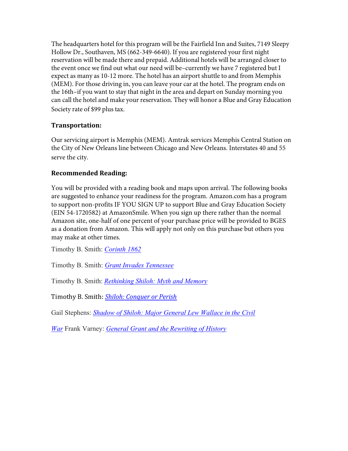The headquarters hotel for this program will be the Fairfield Inn and Suites, 7149 Sleepy Hollow Dr., Southaven, MS (662-349-6640). If you are registered your first night reservation will be made there and prepaid. Additional hotels will be arranged closer to the event once we find out what our need will be–currently we have 7 registered but I expect as many as 10-12 more. The hotel has an airport shuttle to and from Memphis (MEM). For those driving in, you can leave your car at the hotel. The program ends on the 16th–if you want to stay that night in the area and depart on Sunday morning you can call the hotel and make your reservation. They will honor a Blue and Gray Education Society rate of \$99 plus tax.

## **Transportation:**

Our servicing airport is Memphis (MEM). Amtrak services Memphis Central Station on the City of New Orleans line between Chicago and New Orleans. Interstates 40 and 55 serve the city.

# **Recommended Reading:**

You will be provided with a reading book and maps upon arrival. The following books are suggested to enhance your readiness for the program. Amazon.com has a program to support non-profits IF YOU SIGN UP to support Blue and Gray Education Society (EIN 54-1720582) at AmazonSmile. When you sign up there rather than the normal Amazon site, one-half of one percent of your purchase price will be provided to BGES as a donation from Amazon. This will apply not only on this purchase but others you may make at other times.

Timothy B. Smith: *Corinth 1862*

Timothy B. Smith: *Grant Invades Tennessee*

Timothy B. Smith: *Rethinking Shiloh: Myth and Memory*

Timothy B. Smith: *Shiloh: Conquer or Perish* 

Gail Stephens: *Shadow of Shiloh: Major General Lew Wallace in the Civil* 

*War* Frank Varney: *General Grant and the Rewriting of History*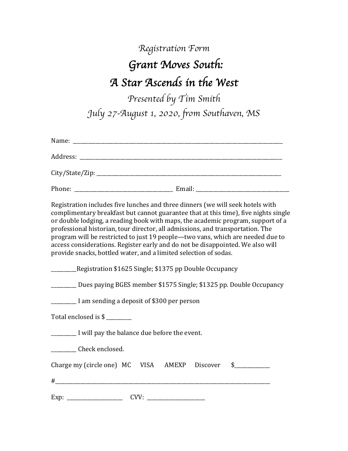# *Registration Form Grant Moves South: A Star Ascends in the West*

*Presented by Tim Smith July 27-August 1, 2020, from Southaven, MS*

| Registration includes five lunches and three dinners (we will seek hotels with<br>complimentary breakfast but cannot guarantee that at this time), five nights single<br>or double lodging, a reading book with maps, the academic program, support of a<br>professional historian, tour director, all admissions, and transportation. The<br>program will be restricted to just 19 people—two vans, which are needed due to<br>access considerations. Register early and do not be disappointed. We also will<br>provide snacks, bottled water, and a limited selection of sodas. |
|------------------------------------------------------------------------------------------------------------------------------------------------------------------------------------------------------------------------------------------------------------------------------------------------------------------------------------------------------------------------------------------------------------------------------------------------------------------------------------------------------------------------------------------------------------------------------------|
| ___________Registration \$1625 Single; \$1375 pp Double Occupancy                                                                                                                                                                                                                                                                                                                                                                                                                                                                                                                  |
| _________ Dues paying BGES member \$1575 Single; \$1325 pp. Double Occupancy                                                                                                                                                                                                                                                                                                                                                                                                                                                                                                       |
| <u>____</u> I am sending a deposit of \$300 per person                                                                                                                                                                                                                                                                                                                                                                                                                                                                                                                             |
| Total enclosed is \$                                                                                                                                                                                                                                                                                                                                                                                                                                                                                                                                                               |
| <u>__</u> ______ I will pay the balance due before the event.                                                                                                                                                                                                                                                                                                                                                                                                                                                                                                                      |
| ___________ Check enclosed.                                                                                                                                                                                                                                                                                                                                                                                                                                                                                                                                                        |
| Charge my (circle one) MC VISA AMEXP Discover<br>$\sim$                                                                                                                                                                                                                                                                                                                                                                                                                                                                                                                            |
|                                                                                                                                                                                                                                                                                                                                                                                                                                                                                                                                                                                    |
|                                                                                                                                                                                                                                                                                                                                                                                                                                                                                                                                                                                    |